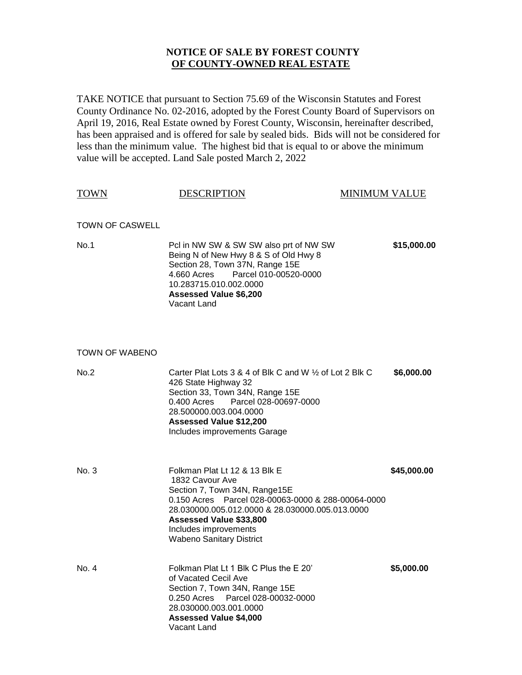## **NOTICE OF SALE BY FOREST COUNTY OF COUNTY-OWNED REAL ESTATE**

TAKE NOTICE that pursuant to Section 75.69 of the Wisconsin Statutes and Forest County Ordinance No. 02-2016, adopted by the Forest County Board of Supervisors on April 19, 2016, Real Estate owned by Forest County, Wisconsin, hereinafter described, has been appraised and is offered for sale by sealed bids. Bids will not be considered for less than the minimum value. The highest bid that is equal to or above the minimum value will be accepted. Land Sale posted March 2, 2022

| <b>TOWN</b>            | <b>DESCRIPTION</b>                                                                                                                                                                                                                                                                | <b>MINIMUM VALUE</b> |
|------------------------|-----------------------------------------------------------------------------------------------------------------------------------------------------------------------------------------------------------------------------------------------------------------------------------|----------------------|
| <b>TOWN OF CASWELL</b> |                                                                                                                                                                                                                                                                                   |                      |
| No.1                   | PcI in NW SW & SW SW also prt of NW SW<br>Being N of New Hwy 8 & S of Old Hwy 8<br>Section 28, Town 37N, Range 15E<br>Parcel 010-00520-0000<br>4.660 Acres<br>10.283715.010.002.0000<br><b>Assessed Value \$6,200</b><br>Vacant Land                                              | \$15,000.00          |
| TOWN OF WABENO         |                                                                                                                                                                                                                                                                                   |                      |
| No.2                   | Carter Plat Lots 3 & 4 of Blk C and W $\frac{1}{2}$ of Lot 2 Blk C<br>426 State Highway 32<br>Section 33, Town 34N, Range 15E<br>0.400 Acres<br>Parcel 028-00697-0000<br>28.500000.003.004.0000<br><b>Assessed Value \$12,200</b><br>Includes improvements Garage                 | \$6,000.00           |
| No. 3                  | Folkman Plat Lt 12 & 13 Blk E<br>1832 Cavour Ave<br>Section 7, Town 34N, Range15E<br>0.150 Acres Parcel 028-00063-0000 & 288-00064-0000<br>28.030000.005.012.0000 & 28.030000.005.013.0000<br>Assessed Value \$33,800<br>Includes improvements<br><b>Wabeno Sanitary District</b> | \$45,000.00          |
| No. 4                  | Folkman Plat Lt 1 Blk C Plus the E 20'<br>of Vacated Cecil Ave<br>Section 7, Town 34N, Range 15E<br>0.250 Acres Parcel 028-00032-0000<br>28 030000 003 001 0000                                                                                                                   | \$5,000.00           |

**Assessed Value \$4,000**

Vacant Land